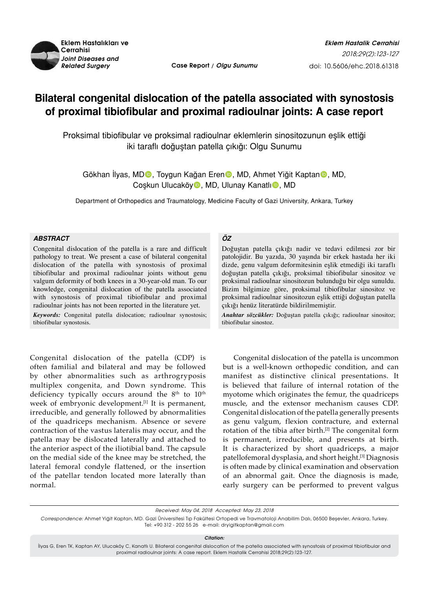

*Related Surgery* **Case Report / Olgu Sunumu**

# **Bilateral congenital dislocation of the patella associated with synostosis of proximal tibiofibular and proximal radioulnar joints: A case report**

Proksimal tibiofibular ve proksimal radioulnar eklemlerin sinositozunun eşlik ettiği iki taraflı doğuştan patella çıkığı: Olgu Sunumu

Gökhan Ilyas, MD**O**, Toygun Kağan Eren<sub></sub>O, MD, Ahmet Yiğit Kaptan<sub></sub>O, MD, Coşkun Ulucaköy<sup>o</sup>, MD, Ulunay Kanatlı<sup>o</sup>, MD

Department of Orthopedics and Traumatology, Medicine Faculty of Gazi University, Ankara, Turkey

### *ABSTRACT*

Congenital dislocation of the patella is a rare and difficult pathology to treat. We present a case of bilateral congenital dislocation of the patella with synostosis of proximal tibiofibular and proximal radioulnar joints without genu valgum deformity of both knees in a 30-year-old man. To our knowledge, congenital dislocation of the patella associated with synostosis of proximal tibiofibular and proximal radioulnar joints has not been reported in the literature yet.

*Keywords:* Congenital patella dislocation; radioulnar synostosis; tibiofibular synostosis.

Congenital dislocation of the patella (CDP) is often familial and bilateral and may be followed by other abnormalities such as arthrogryposis multiplex congenita, and Down syndrome. This deficiency typically occurs around the  $8<sup>th</sup>$  to  $10<sup>th</sup>$ week of embryonic development.<sup>[1]</sup> It is permanent, irreducible, and generally followed by abnormalities of the quadriceps mechanism. Absence or severe contraction of the vastus lateralis may occur, and the patella may be dislocated laterally and attached to the anterior aspect of the iliotibial band. The capsule on the medial side of the knee may be stretched, the lateral femoral condyle flattened, or the insertion of the patellar tendon located more laterally than normal.

# *ÖZ*

Doğuştan patella çıkığı nadir ve tedavi edilmesi zor bir patolojidir. Bu yazıda, 30 yaşında bir erkek hastada her iki dizde, genu valgum deformitesinin eşlik etmediği iki taraflı doğuştan patella çıkığı, proksimal tibiofibular sinositoz ve proksimal radioulnar sinositozun bulunduğu bir olgu sunuldu. Bizim bilgimize göre, proksimal tibiofibular sinositoz ve proksimal radioulnar sinositozun eşlik ettiği doğuştan patella çıkığı henüz literatürde bildirilmemiştir.

*Anahtar sözcükler:* Doğuştan patella çıkığı; radioulnar sinositoz; tibiofibular sinostoz.

Congenital dislocation of the patella is uncommon but is a well-known orthopedic condition, and can manifest as distinctive clinical presentations. It is believed that failure of internal rotation of the myotome which originates the femur, the quadriceps muscle, and the extensor mechanism causes CDP. Congenital dislocation of the patella generally presents as genu valgum, flexion contracture, and external rotation of the tibia after birth.<sup>[2]</sup> The congenital form is permanent, irreducible, and presents at birth. It is characterized by short quadriceps, a major patellofemoral dysplasia, and short height.[3] Diagnosis is often made by clinical examination and observation of an abnormal gait. Once the diagnosis is made, early surgery can be performed to prevent valgus

*Correspondence:* Ahmet Yiğit Kaptan, MD. Gazi Üniversitesi Tıp Fakültesi Ortopedi ve Travmatoloji Anabilim Dalı, 06500 Beşevler, Ankara, Turkey. Tel: +90 312 - 202 55 26 e-mail: dryigitkaptan@gmail.com

*Citation:*

İlyas G, Eren TK, Kaptan AY, Ulucaköy C, Kanatlı U. Bilateral congenital dislocation of the patella associated with synostosis of proximal tibiofibular and proximal radioulnar joints: A case report. Eklem Hastalik Cerrahisi 2018;29(2):123-127.

Received: May 04, 2018 Accepted: May 23, 2018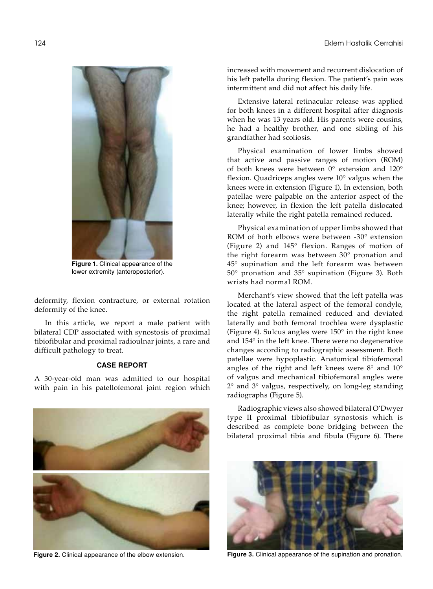

**Figure 1.** Clinical appearance of the lower extremity (anteroposterior).

deformity, flexion contracture, or external rotation deformity of the knee.

In this article, we report a male patient with bilateral CDP associated with synostosis of proximal tibiofibular and proximal radioulnar joints, a rare and difficult pathology to treat.

## **CASE REPORT**

A 30-year-old man was admitted to our hospital with pain in his patellofemoral joint region which



increased with movement and recurrent dislocation of his left patella during flexion. The patient's pain was intermittent and did not affect his daily life.

Extensive lateral retinacular release was applied for both knees in a different hospital after diagnosis when he was 13 years old. His parents were cousins, he had a healthy brother, and one sibling of his grandfather had scoliosis.

Physical examination of lower limbs showed that active and passive ranges of motion (ROM) of both knees were between 0° extension and 120° flexion. Quadriceps angles were 10° valgus when the knees were in extension (Figure 1). In extension, both patellae were palpable on the anterior aspect of the knee; however, in flexion the left patella dislocated laterally while the right patella remained reduced.

Physical examination of upper limbs showed that ROM of both elbows were between -30° extension (Figure 2) and 145° flexion. Ranges of motion of the right forearm was between 30° pronation and 45° supination and the left forearm was between 50° pronation and 35° supination (Figure 3). Both wrists had normal ROM.

Merchant's view showed that the left patella was located at the lateral aspect of the femoral condyle, the right patella remained reduced and deviated laterally and both femoral trochlea were dysplastic (Figure 4). Sulcus angles were 150° in the right knee and 154° in the left knee. There were no degenerative changes according to radiographic assessment. Both patellae were hypoplastic. Anatomical tibiofemoral angles of the right and left knees were 8° and 10° of valgus and mechanical tibiofemoral angles were 2° and 3° valgus, respectively, on long-leg standing radiographs (Figure 5).

Radiographic views also showed bilateral O'Dwyer type II proximal tibiofibular synostosis which is described as complete bone bridging between the bilateral proximal tibia and fibula (Figure 6). There



**Figure 2.** Clinical appearance of the elbow extension. **Figure 3.** Clinical appearance of the supination and pronation.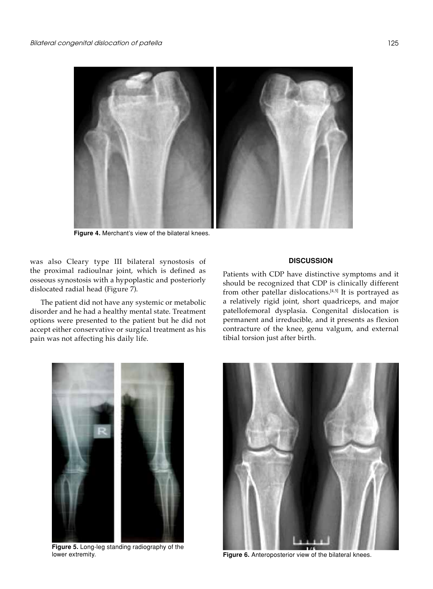

**Figure 4.** Merchant's view of the bilateral knees.

was also Cleary type III bilateral synostosis of the proximal radioulnar joint, which is defined as osseous synostosis with a hypoplastic and posteriorly dislocated radial head (Figure 7).

The patient did not have any systemic or metabolic disorder and he had a healthy mental state. Treatment options were presented to the patient but he did not accept either conservative or surgical treatment as his pain was not affecting his daily life.

### **DISCUSSION**

Patients with CDP have distinctive symptoms and it should be recognized that CDP is clinically different from other patellar dislocations.<sup>[4,5]</sup> It is portrayed as a relatively rigid joint, short quadriceps, and major patellofemoral dysplasia. Congenital dislocation is permanent and irreducible, and it presents as flexion contracture of the knee, genu valgum, and external tibial torsion just after birth.



**Figure 5.** Long-leg standing radiography of the lower extremity.



**Figure 6.** Anteroposterior view of the bilateral knees.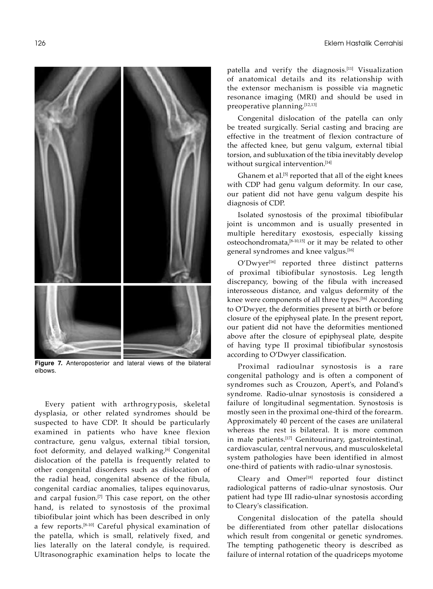

**Figure 7.** Anteroposterior and lateral views of the bilateral elbows.

Every patient with arthrogryposis, skeletal dysplasia, or other related syndromes should be suspected to have CDP. It should be particularly examined in patients who have knee flexion contracture, genu valgus, external tibial torsion, foot deformity, and delayed walking.<sup>[6]</sup> Congenital dislocation of the patella is frequently related to other congenital disorders such as dislocation of the radial head, congenital absence of the fibula, congenital cardiac anomalies, talipes equinovarus, and carpal fusion.<sup>[7]</sup> This case report, on the other hand, is related to synostosis of the proximal tibiofibular joint which has been described in only a few reports.[8-10] Careful physical examination of the patella, which is small, relatively fixed, and lies laterally on the lateral condyle, is required. Ultrasonographic examination helps to locate the

patella and verify the diagnosis.[11] Visualization of anatomical details and its relationship with the extensor mechanism is possible via magnetic resonance imaging (MRI) and should be used in preoperative planning.[12,13]

Congenital dislocation of the patella can only be treated surgically. Serial casting and bracing are effective in the treatment of flexion contracture of the affected knee, but genu valgum, external tibial torsion, and subluxation of the tibia inevitably develop without surgical intervention.<sup>[14]</sup>

Ghanem et al.<sup>[5]</sup> reported that all of the eight knees with CDP had genu valgum deformity. In our case, our patient did not have genu valgum despite his diagnosis of CDP.

Isolated synostosis of the proximal tibiofibular joint is uncommon and is usually presented in multiple hereditary exostosis, especially kissing osteochondromata,[8-10,15] or it may be related to other general syndromes and knee valgus.[16]

O'Dwyer[16] reported three distinct patterns of proximal tibiofibular synostosis. Leg length discrepancy, bowing of the fibula with increased interosseous distance, and valgus deformity of the knee were components of all three types.<sup>[16]</sup> According to O'Dwyer, the deformities present at birth or before closure of the epiphyseal plate. In the present report, our patient did not have the deformities mentioned above after the closure of epiphyseal plate, despite of having type II proximal tibiofibular synostosis according to O'Dwyer classification.

Proximal radioulnar synostosis is a rare congenital pathology and is often a component of syndromes such as Crouzon, Apert's, and Poland's syndrome. Radio-ulnar synostosis is considered a failure of longitudinal segmentation. Synostosis is mostly seen in the proximal one-third of the forearm. Approximately 40 percent of the cases are unilateral whereas the rest is bilateral. It is more common in male patients.[17] Genitourinary, gastrointestinal, cardiovascular, central nervous, and musculoskeletal system pathologies have been identified in almost one-third of patients with radio-ulnar synostosis.

Cleary and Omer<sup>[18]</sup> reported four distinct radiological patterns of radio-ulnar synostosis. Our patient had type III radio-ulnar synostosis according to Cleary's classification.

Congenital dislocation of the patella should be differentiated from other patellar dislocations which result from congenital or genetic syndromes. The tempting pathogenetic theory is described as failure of internal rotation of the quadriceps myotome